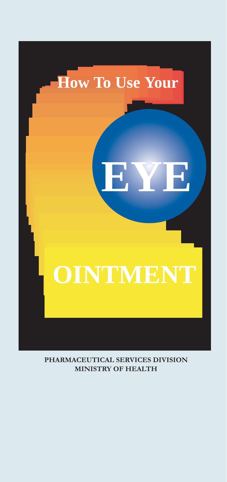

**PHARMACEUTICAL SERVICES DIVISION MINISTRY OF HEALTH**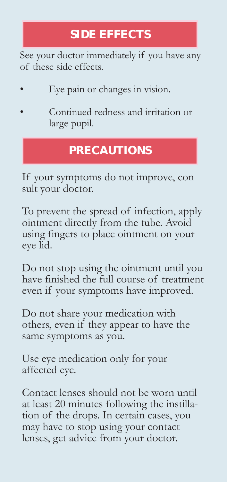## **SIDE EFFECTS**

See your doctor immediately if you have any of these side effects.

- Eye pain or changes in vision.
- Continued redness and irritation or large pupil.

## **PRECAUTIONS**

If your symptoms do not improve, consult your doctor.

To prevent the spread of infection, apply ointment directly from the tube. Avoid using fingers to place ointment on your eye lid.

Do not stop using the ointment until you have finished the full course of treatment even if your symptoms have improved.

Do not share your medication with others, even if they appear to have the same symptoms as you.

Use eye medication only for your affected eye.

Contact lenses should not be worn until at least 20 minutes following the instillation of the drops. In certain cases, you may have to stop using your contact lenses, get advice from your doctor.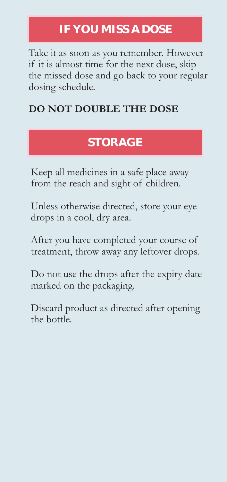# **IF YOU MISS A DOSE**

Take it as soon as you remember. However if it is almost time for the next dose, skip the missed dose and go back to your regular dosing schedule.

### **DO NOT DOUBLE THE DOSE**

## **STORAGE**

Keep all medicines in a safe place away from the reach and sight of children.

Unless otherwise directed, store your eye drops in a cool, dry area.

After you have completed your course of treatment, throw away any leftover drops.

Do not use the drops after the expiry date marked on the packaging.

Discard product as directed after opening the bottle.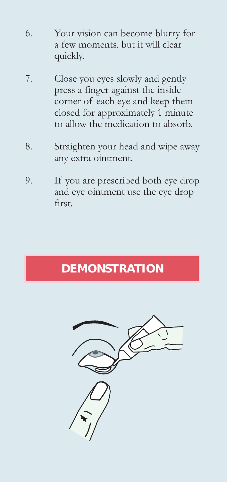- 6. Your vision can become blurry for a few moments, but it will clear quickly.
- 7. Close you eyes slowly and gently press a finger against the inside corner of each eye and keep them closed for approximately 1 minute to allow the medication to absorb.
- 8. Straighten your head and wipe away any extra ointment.
- 9. If you are prescribed both eye drop and eye ointment use the eye drop first.

# **DEMONSTRATION**

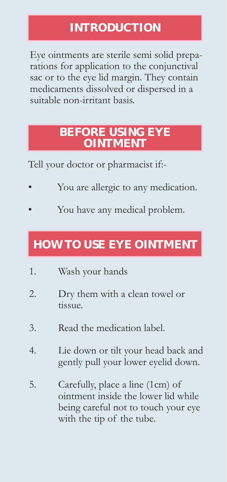## **INTRODUCTION**

Eye ointments are sterile semi solid preparations for application to the conjunctival sac or to the eye lid margin. They contain medicaments dissolved or dispersed in a suitable non-irritant basis.

### **BEFORE USING EYE OINTMENT**

Tell your doctor or pharmacist if:-

- You are allergic to any medication.
- You have any medical problem.

# **HOW TO USE EYE OINTMENT**

- 1. Wash your hands
- 2. Dry them with a clean towel or tissue.
- 3. Read the medication label.
- 4. Lie down or tilt your head back and gently pull your lower eyelid down.
- 5. Carefully, place a line (1cm) of ointment inside the lower lid while being careful not to touch your eye with the tip of the tube.